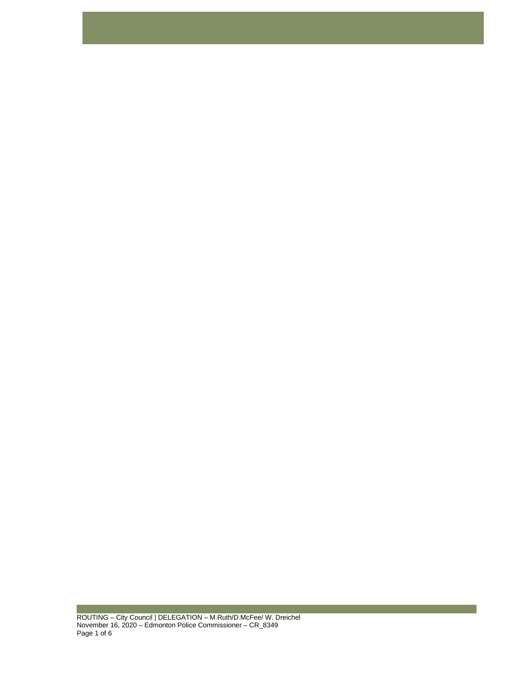ROUTING – City Council | DELEGATION – M.Ruth/D.McFee/ W. Dreichel November 16, 2020 – Edmonton Police Commissioner – CR\_8349 Page 1 of 6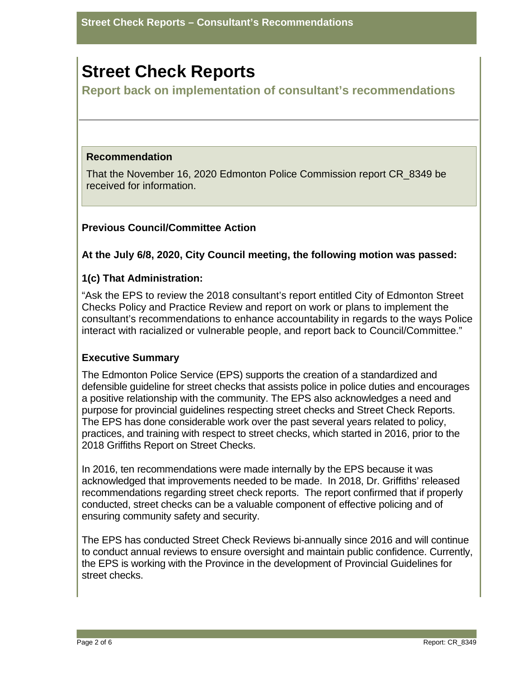# **Street Check Reports**

**Report back on implementation of consultant's recommendations**

#### **Recommendation**

That the November 16, 2020 Edmonton Police Commission report CR\_8349 be received for information.

## **Previous Council/Committee Action**

**At the July 6/8, 2020, City Council meeting, the following motion was passed:**

## **1(c) That Administration:**

"Ask the EPS to review the 2018 consultant's report entitled City of Edmonton Street Checks Policy and Practice Review and report on work or plans to implement the consultant's recommendations to enhance accountability in regards to the ways Police interact with racialized or vulnerable people, and report back to Council/Committee."

## **Executive Summary**

The Edmonton Police Service (EPS) supports the creation of a standardized and defensible guideline for street checks that assists police in police duties and encourages a positive relationship with the community. The EPS also acknowledges a need and purpose for provincial guidelines respecting street checks and Street Check Reports. The EPS has done considerable work over the past several years related to policy, practices, and training with respect to street checks, which started in 2016, prior to the 2018 Griffiths Report on Street Checks.

In 2016, ten recommendations were made internally by the EPS because it was acknowledged that improvements needed to be made. In 2018, Dr. Griffiths' released recommendations regarding street check reports. The report confirmed that if properly conducted, street checks can be a valuable component of effective policing and of ensuring community safety and security.

The EPS has conducted Street Check Reviews bi-annually since 2016 and will continue to conduct annual reviews to ensure oversight and maintain public confidence. Currently, the EPS is working with the Province in the development of Provincial Guidelines for street checks.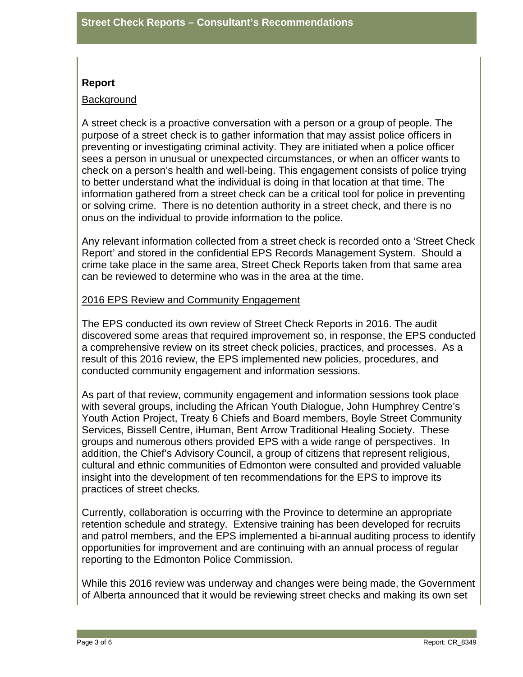#### **Report**

#### **Background**

A street check is a proactive conversation with a person or a group of people. The purpose of a street check is to gather information that may assist police officers in preventing or investigating criminal activity. They are initiated when a police officer sees a person in unusual or unexpected circumstances, or when an officer wants to check on a person's health and well-being. This engagement consists of police trying to better understand what the individual is doing in that location at that time. The information gathered from a street check can be a critical tool for police in preventing or solving crime. There is no detention authority in a street check, and there is no onus on the individual to provide information to the police.

Any relevant information collected from a street check is recorded onto a 'Street Check Report' and stored in the confidential EPS Records Management System. Should a crime take place in the same area, Street Check Reports taken from that same area can be reviewed to determine who was in the area at the time.

#### 2016 EPS Review and Community Engagement

The EPS conducted its own review of Street Check Reports in 2016. The audit discovered some areas that required improvement so, in response, the EPS conducted a comprehensive review on its street check policies, practices, and processes. As a result of this 2016 review, the EPS implemented new policies, procedures, and conducted community engagement and information sessions.

As part of that review, community engagement and information sessions took place with several groups, including the African Youth Dialogue, John Humphrey Centre's Youth Action Project, Treaty 6 Chiefs and Board members, Boyle Street Community Services, Bissell Centre, iHuman, Bent Arrow Traditional Healing Society. These groups and numerous others provided EPS with a wide range of perspectives. In addition, the Chief's Advisory Council, a group of citizens that represent religious, cultural and ethnic communities of Edmonton were consulted and provided valuable insight into the development of ten recommendations for the EPS to improve its practices of street checks.

Currently, collaboration is occurring with the Province to determine an appropriate retention schedule and strategy. Extensive training has been developed for recruits and patrol members, and the EPS implemented a bi-annual auditing process to identify opportunities for improvement and are continuing with an annual process of regular reporting to the Edmonton Police Commission.

While this 2016 review was underway and changes were being made, the Government of Alberta announced that it would be reviewing street checks and making its own set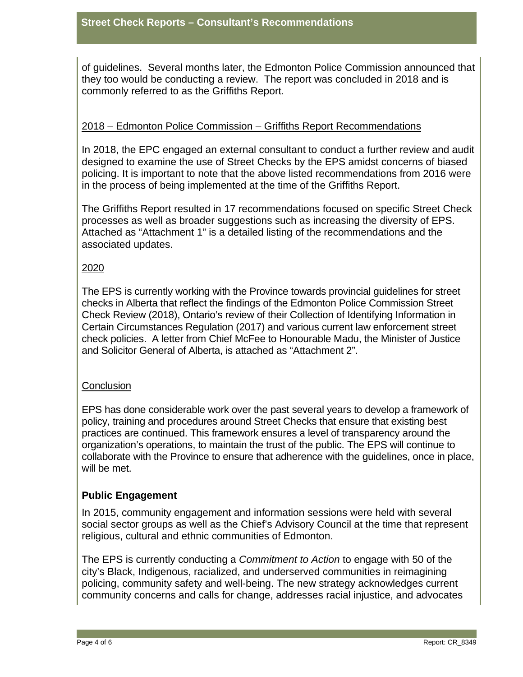of guidelines. Several months later, the Edmonton Police Commission announced that they too would be conducting a review. The report was concluded in 2018 and is commonly referred to as the Griffiths Report.

## 2018 – Edmonton Police Commission – Griffiths Report Recommendations

In 2018, the EPC engaged an external consultant to conduct a further review and audit designed to examine the use of Street Checks by the EPS amidst concerns of biased policing. It is important to note that the above listed recommendations from 2016 were in the process of being implemented at the time of the Griffiths Report.

The Griffiths Report resulted in 17 recommendations focused on specific Street Check processes as well as broader suggestions such as increasing the diversity of EPS. Attached as "Attachment 1" is a detailed listing of the recommendations and the associated updates.

# 2020

The EPS is currently working with the Province towards provincial guidelines for street checks in Alberta that reflect the findings of the Edmonton Police Commission Street Check Review (2018), Ontario's review of their Collection of Identifying Information in Certain Circumstances Regulation (2017) and various current law enforcement street check policies. A letter from Chief McFee to Honourable Madu, the Minister of Justice and Solicitor General of Alberta, is attached as "Attachment 2".

## **Conclusion**

EPS has done considerable work over the past several years to develop a framework of policy, training and procedures around Street Checks that ensure that existing best practices are continued. This framework ensures a level of transparency around the organization's operations, to maintain the trust of the public. The EPS will continue to collaborate with the Province to ensure that adherence with the guidelines, once in place, will be met.

## **Public Engagement**

In 2015, community engagement and information sessions were held with several social sector groups as well as the Chief's Advisory Council at the time that represent religious, cultural and ethnic communities of Edmonton.

The EPS is currently conducting a *Commitment to Action* to engage with 50 of the city's Black, Indigenous, racialized, and underserved communities in reimagining policing, community safety and well-being. The new strategy acknowledges current community concerns and calls for change, addresses racial injustice, and advocates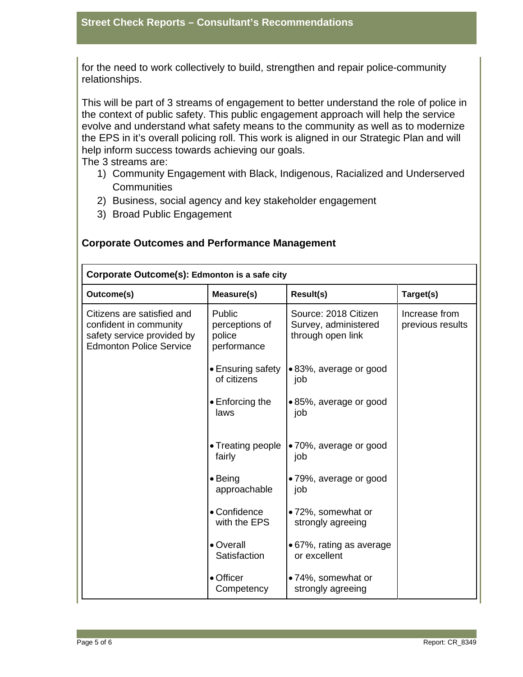for the need to work collectively to build, strengthen and repair police-community relationships.

This will be part of 3 streams of engagement to better understand the role of police in the context of public safety. This public engagement approach will help the service evolve and understand what safety means to the community as well as to modernize the EPS in it's overall policing roll. This work is aligned in our Strategic Plan and will help inform success towards achieving our goals.

The 3 streams are:

- 1) Community Engagement with Black, Indigenous, Racialized and Underserved **Communities**
- 2) Business, social agency and key stakeholder engagement
- 3) Broad Public Engagement

| Corporate Outcome(s): Edmonton is a safe city                                                                        |                                                   |                                                                   |                                   |
|----------------------------------------------------------------------------------------------------------------------|---------------------------------------------------|-------------------------------------------------------------------|-----------------------------------|
| Outcome(s)                                                                                                           | Measure(s)                                        | Result(s)                                                         | Target(s)                         |
| Citizens are satisfied and<br>confident in community<br>safety service provided by<br><b>Edmonton Police Service</b> | Public<br>perceptions of<br>police<br>performance | Source: 2018 Citizen<br>Survey, administered<br>through open link | Increase from<br>previous results |
|                                                                                                                      | • Ensuring safety<br>of citizens                  | • 83%, average or good<br>job                                     |                                   |
|                                                                                                                      | $\bullet$ Enforcing the<br>laws                   | • 85%, average or good<br>job                                     |                                   |
|                                                                                                                      | • Treating people<br>fairly                       | • 70%, average or good<br>job                                     |                                   |
|                                                                                                                      | $\bullet$ Being<br>approachable                   | • 79%, average or good<br>job                                     |                                   |
|                                                                                                                      | • Confidence<br>with the EPS                      | •72%, somewhat or<br>strongly agreeing                            |                                   |
|                                                                                                                      | • Overall<br>Satisfaction                         | • 67%, rating as average<br>or excellent                          |                                   |
|                                                                                                                      | • Officer<br>Competency                           | • 74%, somewhat or<br>strongly agreeing                           |                                   |

#### **Corporate Outcomes and Performance Management**